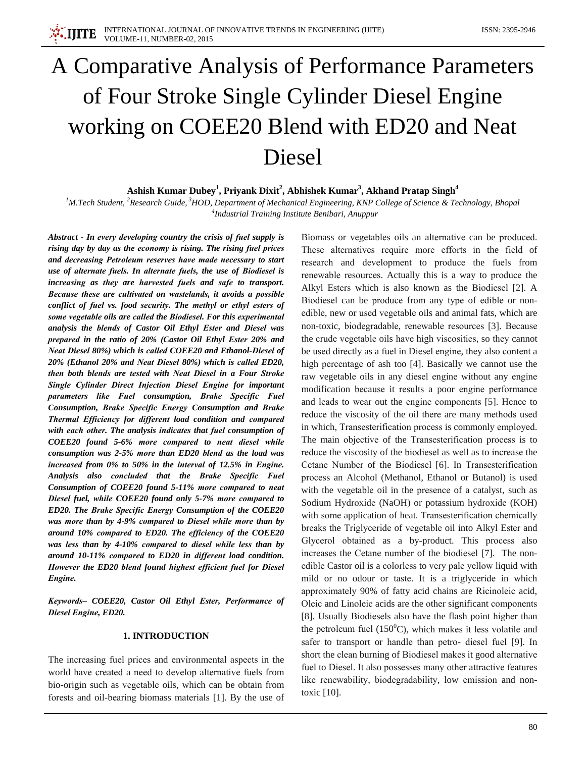# A Comparative Analysis of Performance Parameters of Four Stroke Single Cylinder Diesel Engine working on COEE20 Blend with ED20 and Neat Diesel

# Ashish Kumar Dubey<sup>1</sup>, Priyank Dixit<sup>2</sup>, Abhishek Kumar<sup>3</sup>, Akhand Pratap Singh<sup>4</sup>

<sup>1</sup>M.Tech Student, <sup>2</sup>Research Guide, <sup>3</sup>HOD, Department of Mechanical Engineering, KNP College of Science & Technology, Bhopal <sup>4</sup>Industrial Training Institute Benibari, Anuppur

Abstract - In every developing country the crisis of fuel supply is rising day by day as the economy is rising. The rising fuel prices and decreasing Petroleum reserves have made necessary to start use of alternate fuels. In alternate fuels, the use of Biodiesel is increasing as they are harvested fuels and safe to transport. Because these are cultivated on wastelands, it avoids a possible conflict of fuel vs. food security. The methyl or ethyl esters of some vegetable oils are called the Biodiesel. For this experimental analysis the blends of Castor Oil Ethyl Ester and Diesel was prepared in the ratio of 20% (Castor Oil Ethyl Ester 20% and Neat Diesel 80%) which is called COEE20 and Ethanol-Diesel of 20% (Ethanol 20% and Neat Diesel 80%) which is called ED20, then both blends are tested with Neat Diesel in a Four Stroke Single Cylinder Direct Injection Diesel Engine for important parameters like Fuel consumption, Brake Specific Fuel Consumption, Brake Specific Energy Consumption and Brake Thermal Efficiency for different load condition and compared with each other. The analysis indicates that fuel consumption of COEE20 found 5-6% more compared to neat diesel while consumption was 2-5% more than ED20 blend as the load was increased from  $0\%$  to 50% in the interval of 12.5% in Engine. Analysis also concluded that the Brake Specific Fuel Consumption of COEE20 found 5-11% more compared to neat Diesel fuel, while COEE20 found only 5-7% more compared to ED20. The Brake Specific Energy Consumption of the COEE20 was more than by 4-9% compared to Diesel while more than by around 10% compared to ED20. The efficiency of the COEE20 was less than by 4-10% compared to diesel while less than by around 10-11% compared to ED20 in different load condition. However the ED20 blend found highest efficient fuel for Diesel Engine.

Keywords- COEE20, Castor Oil Ethyl Ester, Performance of Diesel Engine, ED20.

## 1. INTRODUCTION

The increasing fuel prices and environmental aspects in the world have created a need to develop alternative fuels from bio-origin such as vegetable oils, which can be obtain from forests and oil-bearing biomass materials [1]. By the use of Biomass or vegetables oils an alternative can be produced. These alternatives require more efforts in the field of research and development to produce the fuels from renewable resources. Actually this is a way to produce the Alkyl Esters which is also known as the Biodiesel [2]. A Biodiesel can be produce from any type of edible or nonedible, new or used vegetable oils and animal fats, which are non-toxic, biodegradable, renewable resources [3]. Because the crude vegetable oils have high viscosities, so they cannot be used directly as a fuel in Diesel engine, they also content a high percentage of ash too [4]. Basically we cannot use the raw vegetable oils in any diesel engine without any engine modification because it results a poor engine performance and leads to wear out the engine components [5]. Hence to reduce the viscosity of the oil there are many methods used in which, Transesterification process is commonly employed. The main objective of the Transesterification process is to reduce the viscosity of the biodiesel as well as to increase the Cetane Number of the Biodiesel [6]. In Transesterification process an Alcohol (Methanol, Ethanol or Butanol) is used with the vegetable oil in the presence of a catalyst, such as Sodium Hydroxide (NaOH) or potassium hydroxide (KOH) with some application of heat. Transesterification chemically breaks the Triglyceride of vegetable oil into Alkyl Ester and Glycerol obtained as a by-product. This process also increases the Cetane number of the biodiesel [7]. The nonedible Castor oil is a colorless to very pale yellow liquid with mild or no odour or taste. It is a triglyceride in which approximately 90% of fatty acid chains are Ricinoleic acid, Oleic and Linoleic acids are the other significant components [8]. Usually Biodiesels also have the flash point higher than the petroleum fuel  $(150^0C)$ , which makes it less volatile and safer to transport or handle than petro- diesel fuel [9]. In short the clean burning of Biodiesel makes it good alternative fuel to Diesel. It also possesses many other attractive features like renewability, biodegradability, low emission and nontoxic [10].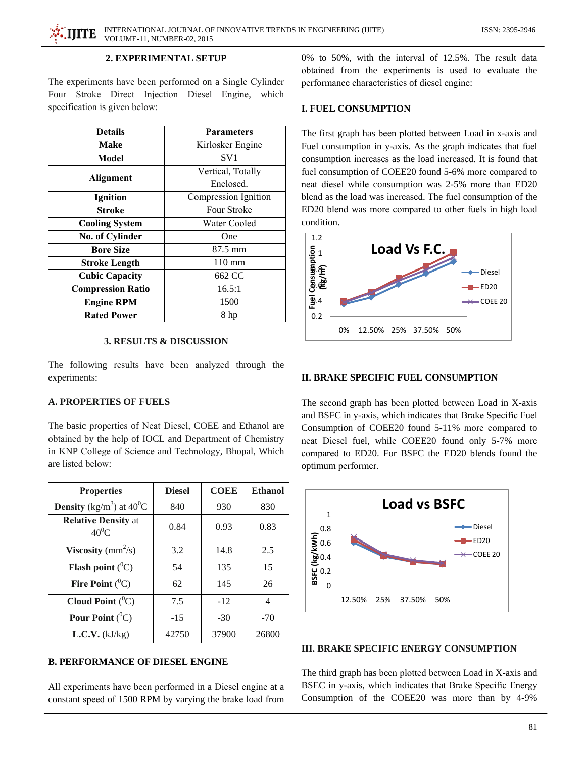# 2. EXPERIMENTAL SETUP

The experiments have been performed on a Single Cylinder Four Stroke Direct Injection Diesel Engine, which specification is given below:

| <b>Details</b>           | <b>Parameters</b>    |  |  |
|--------------------------|----------------------|--|--|
| Make                     | Kirlosker Engine     |  |  |
| Model                    | SV1                  |  |  |
| <b>Alignment</b>         | Vertical, Totally    |  |  |
|                          | Enclosed.            |  |  |
| <b>Ignition</b>          | Compression Ignition |  |  |
| <b>Stroke</b>            | <b>Four Stroke</b>   |  |  |
| <b>Cooling System</b>    | Water Cooled         |  |  |
| No. of Cylinder          | One                  |  |  |
| <b>Bore Size</b>         | 87.5 mm              |  |  |
| <b>Stroke Length</b>     | $110 \text{ mm}$     |  |  |
| <b>Cubic Capacity</b>    | 662 CC               |  |  |
| <b>Compression Ratio</b> | 16.5:1               |  |  |
| <b>Engine RPM</b>        | 1500                 |  |  |
| <b>Rated Power</b>       | 8 hp                 |  |  |

### **3. RESULTS & DISCUSSION**

The following results have been analyzed through the experiments:

# **A. PROPERTIES OF FUELS**

The basic properties of Neat Diesel, COEE and Ethanol are obtained by the help of IOCL and Department of Chemistry in KNP College of Science and Technology, Bhopal, Which are listed below:

| <b>Properties</b>                       | <b>Diesel</b> | <b>COEE</b> | <b>Ethanol</b> |
|-----------------------------------------|---------------|-------------|----------------|
| Density (kg/m <sup>3</sup> ) at $40^0C$ | 840           | 930         | 830            |
| <b>Relative Density at</b><br>$40^0C$   | 0.84          | 0.93        | 0.83           |
| <b>Viscosity</b> ( $mm^2/s$ )           | 3.2           | 14.8        | 2.5            |
| <b>Flash point</b> $(^0C)$              | 54            | 135         | 15             |
| Fire Point $(^0C)$                      | 62            | 145         | 26             |
| Cloud Point $(^0C)$                     | 7.5           | $-12$       | 4              |
| Pour Point $(^0C)$                      | $-15$         | $-30$       | $-70$          |
| L.C.V. (kJ/kg)                          | 42750         | 37900       | 26800          |

# **B. PERFORMANCE OF DIESEL ENGINE**

All experiments have been performed in a Diesel engine at a constant speed of 1500 RPM by varying the brake load from 0% to 50%, with the interval of 12.5%. The result data obtained from the experiments is used to evaluate the performance characteristics of diesel engine:

## **I. FUEL CONSUMPTION**

The first graph has been plotted between Load in x-axis and Fuel consumption in y-axis. As the graph indicates that fuel consumption increases as the load increased. It is found that fuel consumption of COEE20 found 5-6% more compared to neat diesel while consumption was 2-5% more than ED20 blend as the load was increased. The fuel consumption of the ED20 blend was more compared to other fuels in high load condition.



## **II. BRAKE SPECIFIC FUEL CONSUMPTION**

The second graph has been plotted between Load in X-axis and BSFC in y-axis, which indicates that Brake Specific Fuel Consumption of COEE20 found 5-11% more compared to neat Diesel fuel, while COEE20 found only 5-7% more compared to ED20. For BSFC the ED20 blends found the optimum performer.



### **III. BRAKE SPECIFIC ENERGY CONSUMPTION**

The third graph has been plotted between Load in X-axis and BSEC in y-axis, which indicates that Brake Specific Energy Consumption of the COEE20 was more than by 4-9%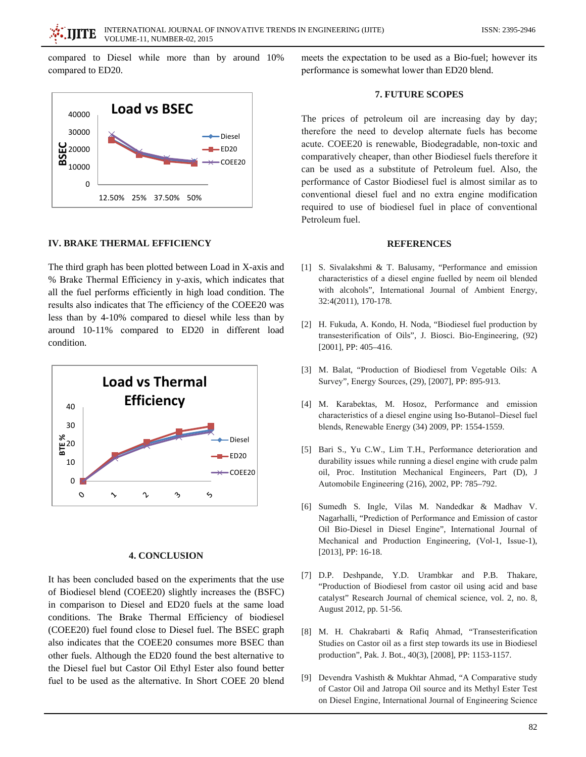compared to Diesel while more than by around 10% compared to ED20.



#### **IV. BRAKE THERMAL EFFICIENCY**

The third graph has been plotted between Load in X-axis and % Brake Thermal Efficiency in y-axis, which indicates that all the fuel performs efficiently in high load condition. The results also indicates that The efficiency of the COEE20 was less than by 4-10% compared to diesel while less than by around 10-11% compared to ED20 in different load condition.



#### **4. CONCLUSION**

It has been concluded based on the experiments that the use of Biodiesel blend (COEE20) slightly increases the (BSFC) in comparison to Diesel and ED20 fuels at the same load conditions. The Brake Thermal Efficiency of biodiesel (COEE20) fuel found close to Diesel fuel. The BSEC graph also indicates that the COEE20 consumes more BSEC than other fuels. Although the ED20 found the best alternative to the Diesel fuel but Castor Oil Ethyl Ester also found better fuel to be used as the alternative. In Short COEE 20 blend

meets the expectation to be used as a Bio-fuel; however its performance is somewhat lower than ED20 blend.

### 7. FUTURE SCOPES

The prices of petroleum oil are increasing day by day; therefore the need to develop alternate fuels has become acute. COEE20 is renewable, Biodegradable, non-toxic and comparatively cheaper, than other Biodiesel fuels therefore it can be used as a substitute of Petroleum fuel. Also, the performance of Castor Biodiesel fuel is almost similar as to conventional diesel fuel and no extra engine modification required to use of biodiesel fuel in place of conventional Petroleum fuel.

#### **REFERENCES**

- [1] S. Sivalakshmi & T. Balusamy, "Performance and emission characteristics of a diesel engine fuelled by neem oil blended with alcohols", International Journal of Ambient Energy, 32:4(2011), 170-178.
- [2] H. Fukuda, A. Kondo, H. Noda, "Biodiesel fuel production by transesterification of Oils", J. Biosci. Bio-Engineering, (92) [2001], PP: 405-416.
- [3] M. Balat, "Production of Biodiesel from Vegetable Oils: A Survey", Energy Sources, (29), [2007], PP: 895-913.
- [4] M. Karabektas, M. Hosoz, Performance and emission characteristics of a diesel engine using Iso-Butanol-Diesel fuel blends, Renewable Energy (34) 2009, PP: 1554-1559.
- [5] Bari S., Yu C.W., Lim T.H., Performance deterioration and durability issues while running a diesel engine with crude palm oil, Proc. Institution Mechanical Engineers, Part (D), J Automobile Engineering (216), 2002, PP: 785-792.
- [6] Sumedh S. Ingle, Vilas M. Nandedkar & Madhav V. Nagarhalli, "Prediction of Performance and Emission of castor Oil Bio-Diesel in Diesel Engine", International Journal of Mechanical and Production Engineering, (Vol-1, Issue-1), [2013], PP: 16-18.
- [7] D.P. Deshpande, Y.D. Urambkar and P.B. Thakare, "Production of Biodiesel from castor oil using acid and base catalyst" Research Journal of chemical science, vol. 2, no. 8, August 2012, pp. 51-56.
- [8] M. H. Chakrabarti & Rafiq Ahmad, "Transesterification Studies on Castor oil as a first step towards its use in Biodiesel production", Pak. J. Bot., 40(3), [2008], PP: 1153-1157.
- [9] Devendra Vashisth & Mukhtar Ahmad, "A Comparative study of Castor Oil and Jatropa Oil source and its Methyl Ester Test on Diesel Engine, International Journal of Engineering Science